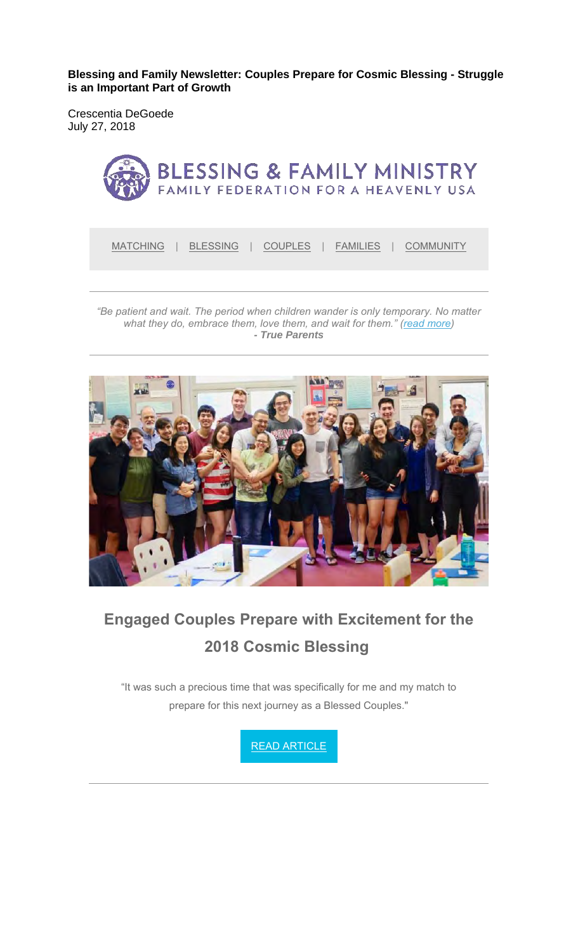**Blessing and Family Newsletter: Couples Prepare for Cosmic Blessing - Struggle is an Important Part of Growth** 

Crescentia DeGoede July 27, 2018



*"Be patient and wait. The period when children wander is only temporary. No matter what they do, embrace them, love them, and wait for them." (read more) - True Parents*



# **Engaged Couples Prepare with Excitement for the 2018 Cosmic Blessing**

"It was such a precious time that was specifically for me and my match to prepare for this next journey as a Blessed Couples."

READ ARTICLE